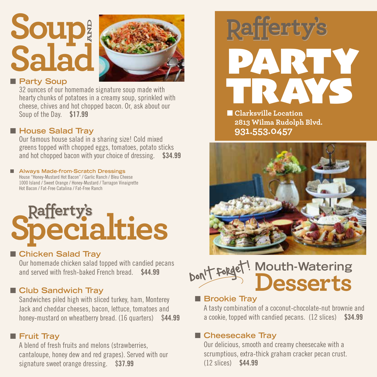## **Soup Salad AND**



#### **n** Party Soup

32 ounces of our homemade signature soup made with hearty chunks of potatoes in a creamy soup, sprinkled with cheese, chives and hot chopped bacon. Or, ask about our Soup of the Day. \$17.99

#### ■ House Salad Tray

Our famous house salad in a sharing size! Cold mixed greens topped with chopped eggs, tomatoes, potato sticks and hot chopped bacon with your choice of dressing. \$34.99

#### ■ Always Made-from-Scratch Dressings House "Honey-Mustard Hot Bacon" / Garlic Ranch / Bleu Cheese

1000 Island / Sweet Orange / Honey-Mustard / Tarragon Vinaigrette Hot Bacon / Fat-Free Catalina / Fat-Free Ranch

# **Rafferty's**<br>**Pecialties**

#### ■ Chicken Salad Tray

Our homemade chicken salad topped with candied pecans and served with fresh-baked French bread. \$44.99

#### **n** Club Sandwich Tray

Sandwiches piled high with sliced turkey, ham, Monterey Jack and cheddar cheeses, bacon, lettuce, tomatoes and honey-mustard on wheatberry bread. (16 quarters) \$44.99

#### **n** Fruit Tray

A blend of fresh fruits and melons (strawberries, cantaloupe, honey dew and red grapes). Served with our signature sweet orange dressing. \$37.99



**n** Clarksville Location **2813 Wilma Rudolph Blvd. 931.553.0457**



#### **Mouth-Watering Desserts** Don't forget!  $\overline{\phantom{a}}$

#### **n** Brookie Tray

A tasty combination of a coconut-chocolate-nut brownie and a cookie, topped with candied pecans. (12 slices) \$34.99

#### ■ Cheesecake Tray

Our delicious, smooth and creamy cheesecake with a scrumptious, extra-thick graham cracker pecan crust. (12 slices) \$44.99